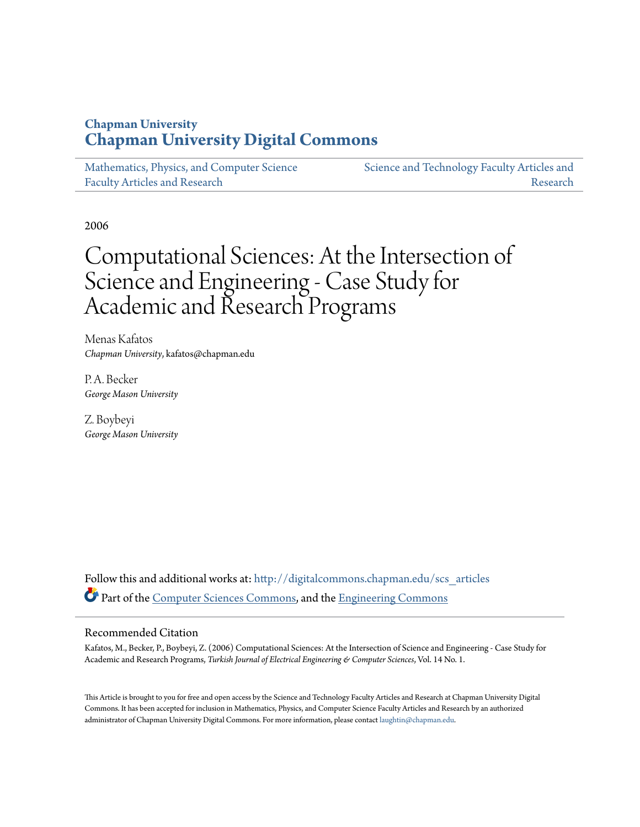# **Chapman University [Chapman University Digital Commons](http://digitalcommons.chapman.edu?utm_source=digitalcommons.chapman.edu%2Fscs_articles%2F151&utm_medium=PDF&utm_campaign=PDFCoverPages)**

[Mathematics, Physics, and Computer Science](http://digitalcommons.chapman.edu/scs_articles?utm_source=digitalcommons.chapman.edu%2Fscs_articles%2F151&utm_medium=PDF&utm_campaign=PDFCoverPages) [Faculty Articles and Research](http://digitalcommons.chapman.edu/scs_articles?utm_source=digitalcommons.chapman.edu%2Fscs_articles%2F151&utm_medium=PDF&utm_campaign=PDFCoverPages)

[Science and Technology Faculty Articles and](http://digitalcommons.chapman.edu/science_articles?utm_source=digitalcommons.chapman.edu%2Fscs_articles%2F151&utm_medium=PDF&utm_campaign=PDFCoverPages) [Research](http://digitalcommons.chapman.edu/science_articles?utm_source=digitalcommons.chapman.edu%2Fscs_articles%2F151&utm_medium=PDF&utm_campaign=PDFCoverPages)

2006

# Computational Sciences: At the Intersection of Science and Engineering - Case Study for Academic and Research Programs

Menas Kafatos *Chapman University*, kafatos@chapman.edu

P. A. Becker *George Mason University*

Z. Boybeyi *George Mason University*

Follow this and additional works at: [http://digitalcommons.chapman.edu/scs\\_articles](http://digitalcommons.chapman.edu/scs_articles?utm_source=digitalcommons.chapman.edu%2Fscs_articles%2F151&utm_medium=PDF&utm_campaign=PDFCoverPages) Part of the [Computer Sciences Commons](http://network.bepress.com/hgg/discipline/142?utm_source=digitalcommons.chapman.edu%2Fscs_articles%2F151&utm_medium=PDF&utm_campaign=PDFCoverPages), and the [Engineering Commons](http://network.bepress.com/hgg/discipline/217?utm_source=digitalcommons.chapman.edu%2Fscs_articles%2F151&utm_medium=PDF&utm_campaign=PDFCoverPages)

#### Recommended Citation

Kafatos, M., Becker, P., Boybeyi, Z. (2006) Computational Sciences: At the Intersection of Science and Engineering - Case Study for Academic and Research Programs, *Turkish Journal of Electrical Engineering & Computer Sciences*, Vol. 14 No. 1.

This Article is brought to you for free and open access by the Science and Technology Faculty Articles and Research at Chapman University Digital Commons. It has been accepted for inclusion in Mathematics, Physics, and Computer Science Faculty Articles and Research by an authorized administrator of Chapman University Digital Commons. For more information, please contact [laughtin@chapman.edu.](mailto:laughtin@chapman.edu)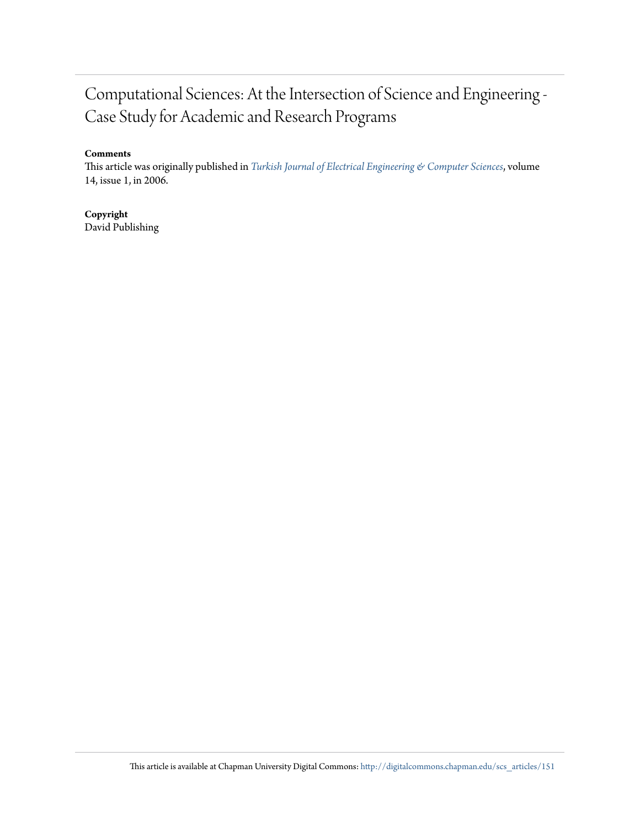# Computational Sciences: At the Intersection of Science and Engineering - Case Study for Academic and Research Programs

#### **Comments**

This article was originally published in *[Turkish Journal of Electrical Engineering & Computer Sciences](http://journals.tubitak.gov.tr/elektrik/issues/elk-06-14-1/elk-14-1-8-0509-8.pdf)*, volume 14, issue 1, in 2006.

## **Copyright**

David Publishing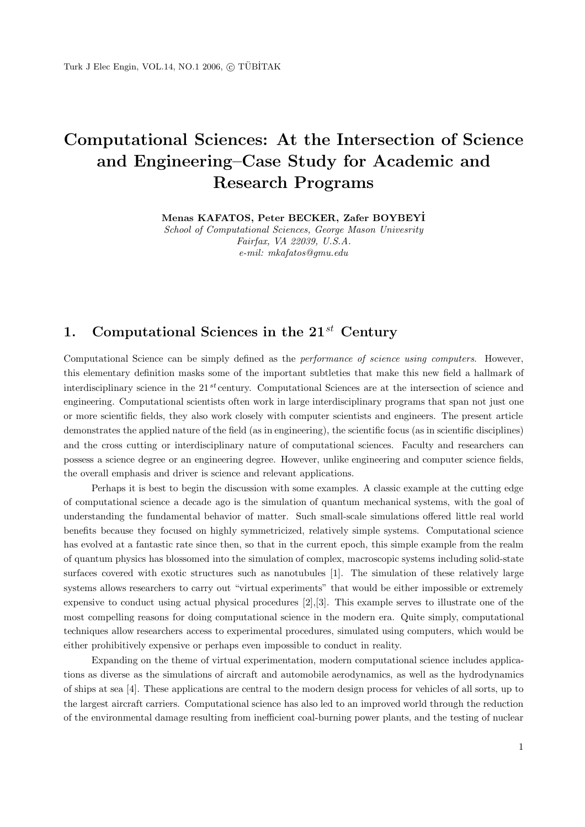# **Computational Sciences: At the Intersection of Science and Engineering–Case Study for Academic and Research Programs**

**Menas KAFATOS, Peter BECKER, Zafer BOYBEY˙ I**

School of Computational Sciences, George Mason Univesrity Fairfax, VA 22039, U.S.A. e-mil: mkafatos@gmu.edu

# **1. Computational Sciences in the 21***st* **Century**

Computational Science can be simply defined as the *performance of science using computers*. However, this elementary definition masks some of the important subtleties that make this new field a hallmark of interdisciplinary science in the 21 *st* century. Computational Sciences are at the intersection of science and engineering. Computational scientists often work in large interdisciplinary programs that span not just one or more scientific fields, they also work closely with computer scientists and engineers. The present article demonstrates the applied nature of the field (as in engineering), the scientific focus (as in scientific disciplines) and the cross cutting or interdisciplinary nature of computational sciences. Faculty and researchers can possess a science degree or an engineering degree. However, unlike engineering and computer science fields, the overall emphasis and driver is science and relevant applications.

Perhaps it is best to begin the discussion with some examples. A classic example at the cutting edge of computational science a decade ago is the simulation of quantum mechanical systems, with the goal of understanding the fundamental behavior of matter. Such small-scale simulations offered little real world benefits because they focused on highly symmetricized, relatively simple systems. Computational science has evolved at a fantastic rate since then, so that in the current epoch, this simple example from the realm of quantum physics has blossomed into the simulation of complex, macroscopic systems including solid-state surfaces covered with exotic structures such as nanotubules [1]. The simulation of these relatively large systems allows researchers to carry out "virtual experiments" that would be either impossible or extremely expensive to conduct using actual physical procedures [2],[3]. This example serves to illustrate one of the most compelling reasons for doing computational science in the modern era. Quite simply, computational techniques allow researchers access to experimental procedures, simulated using computers, which would be either prohibitively expensive or perhaps even impossible to conduct in reality.

Expanding on the theme of virtual experimentation, modern computational science includes applications as diverse as the simulations of aircraft and automobile aerodynamics, as well as the hydrodynamics of ships at sea [4]. These applications are central to the modern design process for vehicles of all sorts, up to the largest aircraft carriers. Computational science has also led to an improved world through the reduction of the environmental damage resulting from inefficient coal-burning power plants, and the testing of nuclear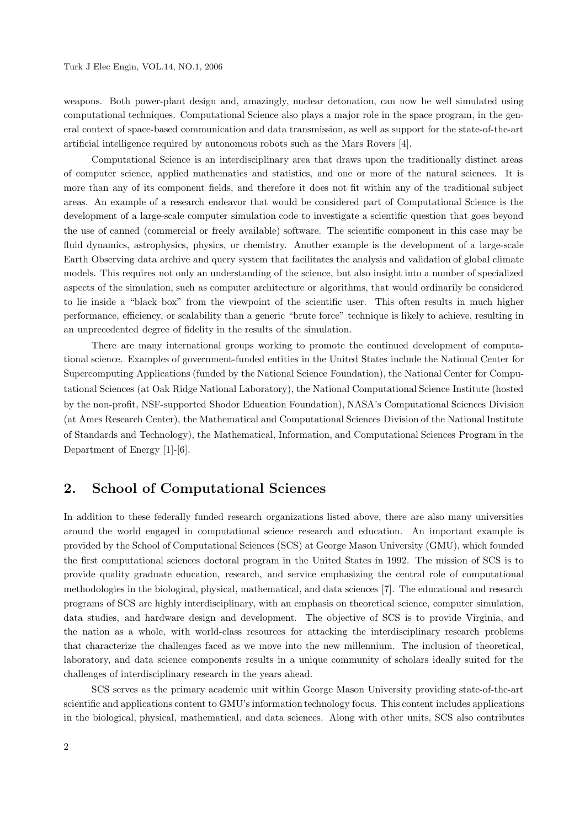weapons. Both power-plant design and, amazingly, nuclear detonation, can now be well simulated using computational techniques. Computational Science also plays a major role in the space program, in the general context of space-based communication and data transmission, as well as support for the state-of-the-art artificial intelligence required by autonomous robots such as the Mars Rovers [4].

Computational Science is an interdisciplinary area that draws upon the traditionally distinct areas of computer science, applied mathematics and statistics, and one or more of the natural sciences. It is more than any of its component fields, and therefore it does not fit within any of the traditional subject areas. An example of a research endeavor that would be considered part of Computational Science is the development of a large-scale computer simulation code to investigate a scientific question that goes beyond the use of canned (commercial or freely available) software. The scientific component in this case may be fluid dynamics, astrophysics, physics, or chemistry. Another example is the development of a large-scale Earth Observing data archive and query system that facilitates the analysis and validation of global climate models. This requires not only an understanding of the science, but also insight into a number of specialized aspects of the simulation, such as computer architecture or algorithms, that would ordinarily be considered to lie inside a "black box" from the viewpoint of the scientific user. This often results in much higher performance, efficiency, or scalability than a generic "brute force" technique is likely to achieve, resulting in an unprecedented degree of fidelity in the results of the simulation.

There are many international groups working to promote the continued development of computational science. Examples of government-funded entities in the United States include the National Center for Supercomputing Applications (funded by the National Science Foundation), the National Center for Computational Sciences (at Oak Ridge National Laboratory), the National Computational Science Institute (hosted by the non-profit, NSF-supported Shodor Education Foundation), NASA's Computational Sciences Division (at Ames Research Center), the Mathematical and Computational Sciences Division of the National Institute of Standards and Technology), the Mathematical, Information, and Computational Sciences Program in the Department of Energy [1]-[6].

### **2. School of Computational Sciences**

In addition to these federally funded research organizations listed above, there are also many universities around the world engaged in computational science research and education. An important example is provided by the School of Computational Sciences (SCS) at George Mason University (GMU), which founded the first computational sciences doctoral program in the United States in 1992. The mission of SCS is to provide quality graduate education, research, and service emphasizing the central role of computational methodologies in the biological, physical, mathematical, and data sciences [7]. The educational and research programs of SCS are highly interdisciplinary, with an emphasis on theoretical science, computer simulation, data studies, and hardware design and development. The objective of SCS is to provide Virginia, and the nation as a whole, with world-class resources for attacking the interdisciplinary research problems that characterize the challenges faced as we move into the new millennium. The inclusion of theoretical, laboratory, and data science components results in a unique community of scholars ideally suited for the challenges of interdisciplinary research in the years ahead.

SCS serves as the primary academic unit within George Mason University providing state-of-the-art scientific and applications content to GMU's information technology focus. This content includes applications in the biological, physical, mathematical, and data sciences. Along with other units, SCS also contributes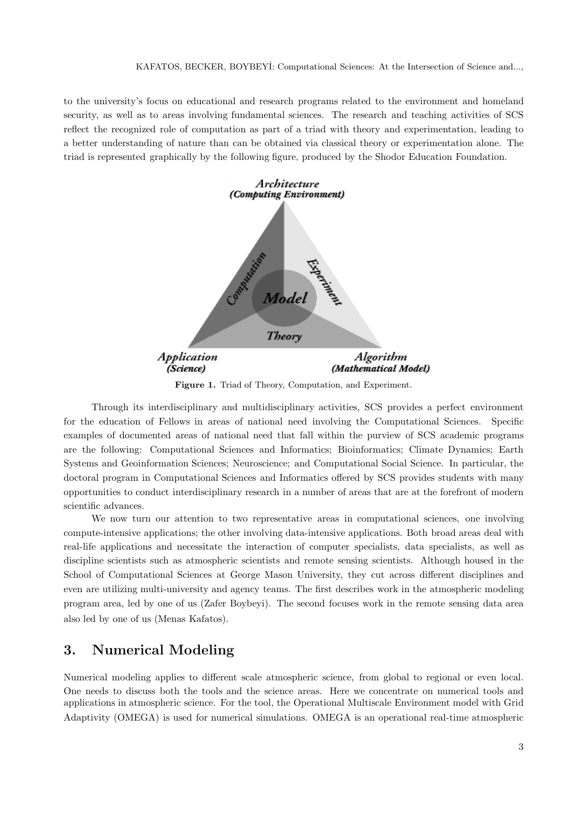to the university's focus on educational and research programs related to the environment and homeland security, as well as to areas involving fundamental sciences. The research and teaching activities of SCS reflect the recognized role of computation as part of a triad with theory and experimentation, leading to a better understanding of nature than can be obtained via classical theory or experimentation alone. The triad is represented graphically by the following figure, produced by the Shodor Education Foundation.



Figure 1. Triad of Theory, Computation, and Experiment.

Through its interdisciplinary and multidisciplinary activities, SCS provides a perfect environment for the education of Fellows in areas of national need involving the Computational Sciences. Specific examples of documented areas of national need that fall within the purview of SCS academic programs are the following: Computational Sciences and Informatics; Bioinformatics; Climate Dynamics; Earth Systems and Geoinformation Sciences; Neuroscience; and Computational Social Science. In particular, the doctoral program in Computational Sciences and Informatics offered by SCS provides students with many opportunities to conduct interdisciplinary research in a number of areas that are at the forefront of modern scientific advances.

We now turn our attention to two representative areas in computational sciences, one involving compute-intensive applications; the other involving data-intensive applications. Both broad areas deal with real-life applications and necessitate the interaction of computer specialists, data specialists, as well as discipline scientists such as atmospheric scientists and remote sensing scientists. Although housed in the School of Computational Sciences at George Mason University, they cut across different disciplines and even are utilizing multi-university and agency teams. The first describes work in the atmospheric modeling program area, led by one of us (Zafer Boybeyi). The second focuses work in the remote sensing data area also led by one of us (Menas Kafatos).

## **3. Numerical Modeling**

Numerical modeling applies to different scale atmospheric science, from global to regional or even local. One needs to discuss both the tools and the science areas. Here we concentrate on numerical tools and applications in atmospheric science. For the tool, the Operational Multiscale Environment model with Grid Adaptivity (OMEGA) is used for numerical simulations. OMEGA is an operational real-time atmospheric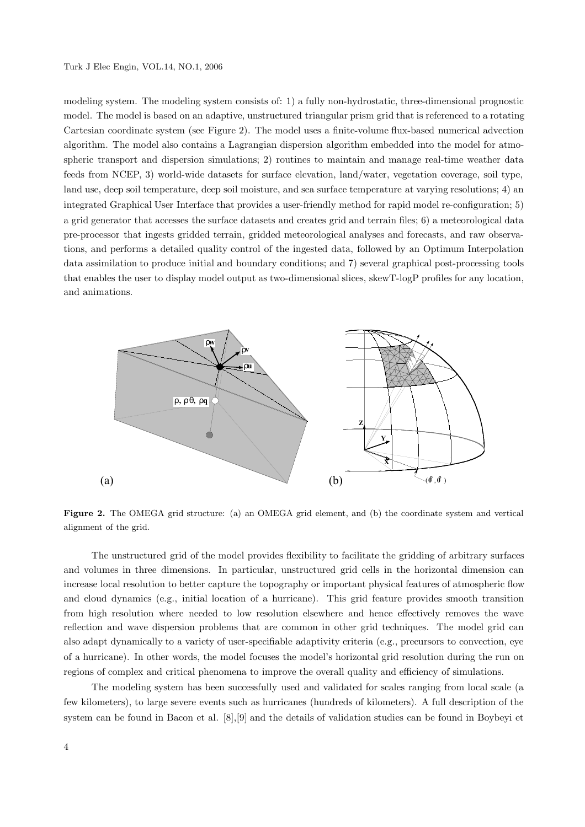#### Turk J Elec Engin, VOL.14, NO.1, 2006

modeling system. The modeling system consists of: 1) a fully non-hydrostatic, three-dimensional prognostic model. The model is based on an adaptive, unstructured triangular prism grid that is referenced to a rotating Cartesian coordinate system (see Figure 2). The model uses a finite-volume flux-based numerical advection algorithm. The model also contains a Lagrangian dispersion algorithm embedded into the model for atmospheric transport and dispersion simulations; 2) routines to maintain and manage real-time weather data feeds from NCEP, 3) world-wide datasets for surface elevation, land/water, vegetation coverage, soil type, land use, deep soil temperature, deep soil moisture, and sea surface temperature at varying resolutions; 4) an integrated Graphical User Interface that provides a user-friendly method for rapid model re-configuration; 5) a grid generator that accesses the surface datasets and creates grid and terrain files; 6) a meteorological data pre-processor that ingests gridded terrain, gridded meteorological analyses and forecasts, and raw observations, and performs a detailed quality control of the ingested data, followed by an Optimum Interpolation data assimilation to produce initial and boundary conditions; and 7) several graphical post-processing tools that enables the user to display model output as two-dimensional slices, skewT-logP profiles for any location, and animations.



**Figure 2.** The OMEGA grid structure: (a) an OMEGA grid element, and (b) the coordinate system and vertical alignment of the grid.

The unstructured grid of the model provides flexibility to facilitate the gridding of arbitrary surfaces and volumes in three dimensions. In particular, unstructured grid cells in the horizontal dimension can increase local resolution to better capture the topography or important physical features of atmospheric flow and cloud dynamics (e.g., initial location of a hurricane). This grid feature provides smooth transition from high resolution where needed to low resolution elsewhere and hence effectively removes the wave reflection and wave dispersion problems that are common in other grid techniques. The model grid can also adapt dynamically to a variety of user-specifiable adaptivity criteria (e.g., precursors to convection, eye of a hurricane). In other words, the model focuses the model's horizontal grid resolution during the run on regions of complex and critical phenomena to improve the overall quality and efficiency of simulations.

The modeling system has been successfully used and validated for scales ranging from local scale (a few kilometers), to large severe events such as hurricanes (hundreds of kilometers). A full description of the system can be found in Bacon et al. [8],[9] and the details of validation studies can be found in Boybeyi et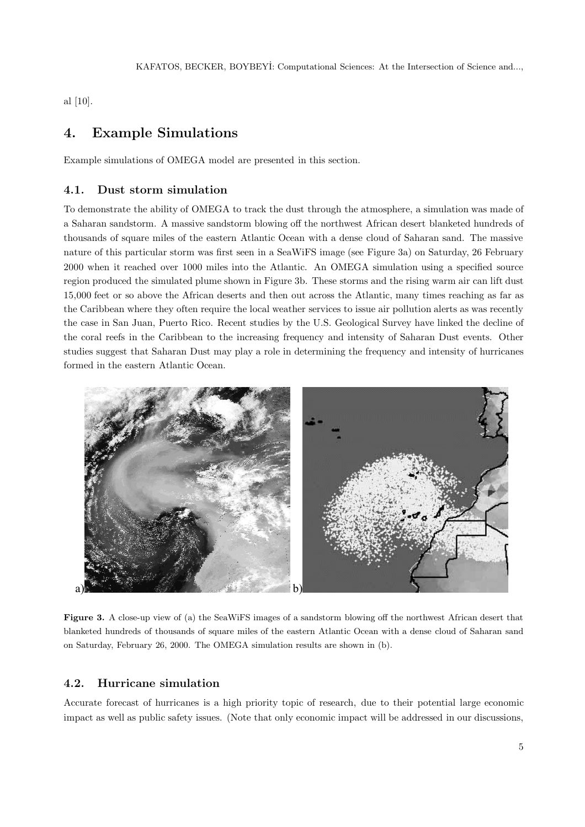al [10].

## **4. Example Simulations**

Example simulations of OMEGA model are presented in this section.

#### **4.1. Dust storm simulation**

To demonstrate the ability of OMEGA to track the dust through the atmosphere, a simulation was made of a Saharan sandstorm. A massive sandstorm blowing off the northwest African desert blanketed hundreds of thousands of square miles of the eastern Atlantic Ocean with a dense cloud of Saharan sand. The massive nature of this particular storm was first seen in a SeaWiFS image (see Figure 3a) on Saturday, 26 February 2000 when it reached over 1000 miles into the Atlantic. An OMEGA simulation using a specified source region produced the simulated plume shown in Figure 3b. These storms and the rising warm air can lift dust 15,000 feet or so above the African deserts and then out across the Atlantic, many times reaching as far as the Caribbean where they often require the local weather services to issue air pollution alerts as was recently the case in San Juan, Puerto Rico. Recent studies by the U.S. Geological Survey have linked the decline of the coral reefs in the Caribbean to the increasing frequency and intensity of Saharan Dust events. Other studies suggest that Saharan Dust may play a role in determining the frequency and intensity of hurricanes formed in the eastern Atlantic Ocean.



**Figure 3.** A close-up view of (a) the SeaWiFS images of a sandstorm blowing off the northwest African desert that blanketed hundreds of thousands of square miles of the eastern Atlantic Ocean with a dense cloud of Saharan sand on Saturday, February 26, 2000. The OMEGA simulation results are shown in (b).

#### **4.2. Hurricane simulation**

Accurate forecast of hurricanes is a high priority topic of research, due to their potential large economic impact as well as public safety issues. (Note that only economic impact will be addressed in our discussions,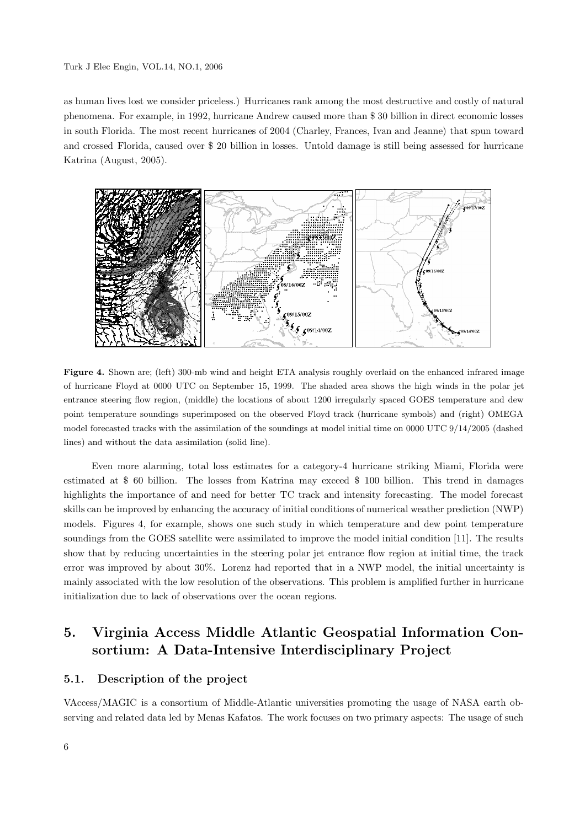#### Turk J Elec Engin, VOL.14, NO.1, 2006

as human lives lost we consider priceless.) Hurricanes rank among the most destructive and costly of natural phenomena. For example, in 1992, hurricane Andrew caused more than \$ 30 billion in direct economic losses in south Florida. The most recent hurricanes of 2004 (Charley, Frances, Ivan and Jeanne) that spun toward and crossed Florida, caused over \$ 20 billion in losses. Untold damage is still being assessed for hurricane Katrina (August, 2005).



**Figure 4.** Shown are; (left) 300-mb wind and height ETA analysis roughly overlaid on the enhanced infrared image of hurricane Floyd at 0000 UTC on September 15, 1999. The shaded area shows the high winds in the polar jet entrance steering flow region, (middle) the locations of about 1200 irregularly spaced GOES temperature and dew point temperature soundings superimposed on the observed Floyd track (hurricane symbols) and (right) OMEGA model forecasted tracks with the assimilation of the soundings at model initial time on 0000 UTC 9/14/2005 (dashed lines) and without the data assimilation (solid line).

Even more alarming, total loss estimates for a category-4 hurricane striking Miami, Florida were estimated at \$ 60 billion. The losses from Katrina may exceed \$ 100 billion. This trend in damages highlights the importance of and need for better TC track and intensity forecasting. The model forecast skills can be improved by enhancing the accuracy of initial conditions of numerical weather prediction (NWP) models. Figures 4, for example, shows one such study in which temperature and dew point temperature soundings from the GOES satellite were assimilated to improve the model initial condition [11]. The results show that by reducing uncertainties in the steering polar jet entrance flow region at initial time, the track error was improved by about 30%. Lorenz had reported that in a NWP model, the initial uncertainty is mainly associated with the low resolution of the observations. This problem is amplified further in hurricane initialization due to lack of observations over the ocean regions.

# **5. Virginia Access Middle Atlantic Geospatial Information Consortium: A Data-Intensive Interdisciplinary Project**

#### **5.1. Description of the project**

VAccess/MAGIC is a consortium of Middle-Atlantic universities promoting the usage of NASA earth observing and related data led by Menas Kafatos. The work focuses on two primary aspects: The usage of such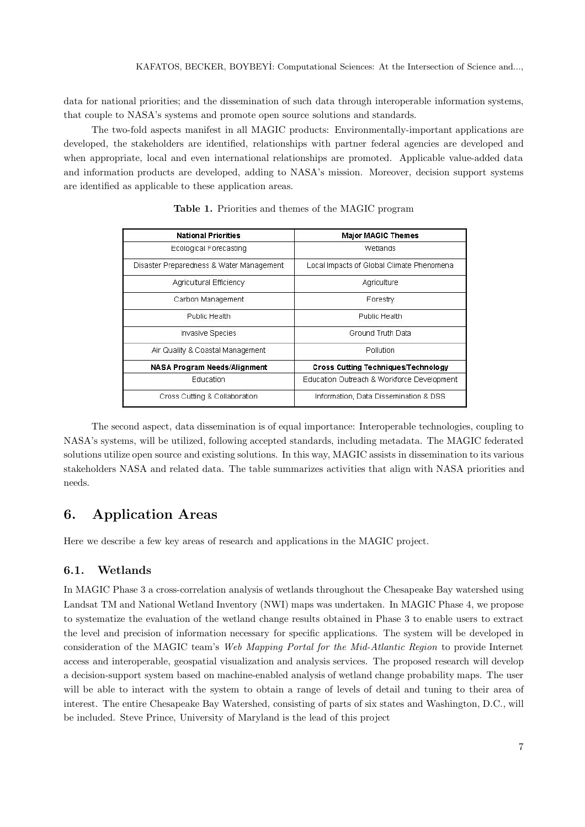data for national priorities; and the dissemination of such data through interoperable information systems, that couple to NASA's systems and promote open source solutions and standards.

The two-fold aspects manifest in all MAGIC products: Environmentally-important applications are developed, the stakeholders are identified, relationships with partner federal agencies are developed and when appropriate, local and even international relationships are promoted. Applicable value-added data and information products are developed, adding to NASA's mission. Moreover, decision support systems are identified as applicable to these application areas.

| <b>National Priorities</b>               | <b>Major MAGIC Themes</b>                  |
|------------------------------------------|--------------------------------------------|
| Ecological Forecasting                   | Wetlands                                   |
| Disaster Preparedness & Water Management | Local Impacts of Global Climate Phenomena  |
| Agricultural Efficiency                  | Agriculture                                |
| Carbon Management                        | Forestry                                   |
| Public Health                            | Public Health                              |
| Invasive Species                         | Ground Truth Data                          |
| Air Quality & Coastal Management         | Pollution                                  |
| NASA Program Needs/Alignment             | <b>Cross Cutting Techniques/Technology</b> |
| Education                                | Education Outreach & Workforce Development |
| Cross Cutting & Collaboration.           | Information, Data Dissemination & DSS.     |

**Table 1.** Priorities and themes of the MAGIC program

The second aspect, data dissemination is of equal importance: Interoperable technologies, coupling to NASA's systems, will be utilized, following accepted standards, including metadata. The MAGIC federated solutions utilize open source and existing solutions. In this way, MAGIC assists in dissemination to its various stakeholders NASA and related data. The table summarizes activities that align with NASA priorities and needs.

## **6. Application Areas**

Here we describe a few key areas of research and applications in the MAGIC project.

#### **6.1. Wetlands**

In MAGIC Phase 3 a cross-correlation analysis of wetlands throughout the Chesapeake Bay watershed using Landsat TM and National Wetland Inventory (NWI) maps was undertaken. In MAGIC Phase 4, we propose to systematize the evaluation of the wetland change results obtained in Phase 3 to enable users to extract the level and precision of information necessary for specific applications. The system will be developed in consideration of the MAGIC team's Web Mapping Portal for the Mid-Atlantic Region to provide Internet access and interoperable, geospatial visualization and analysis services. The proposed research will develop a decision-support system based on machine-enabled analysis of wetland change probability maps. The user will be able to interact with the system to obtain a range of levels of detail and tuning to their area of interest. The entire Chesapeake Bay Watershed, consisting of parts of six states and Washington, D.C., will be included. Steve Prince, University of Maryland is the lead of this project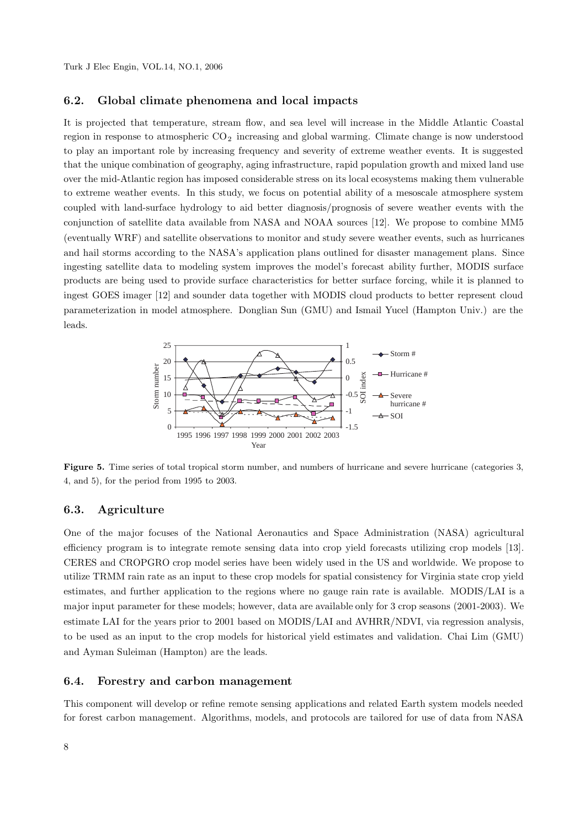#### **6.2. Global climate phenomena and local impacts**

It is projected that temperature, stream flow, and sea level will increase in the Middle Atlantic Coastal region in response to atmospheric  $CO<sub>2</sub>$  increasing and global warming. Climate change is now understood to play an important role by increasing frequency and severity of extreme weather events. It is suggested that the unique combination of geography, aging infrastructure, rapid population growth and mixed land use over the mid-Atlantic region has imposed considerable stress on its local ecosystems making them vulnerable to extreme weather events. In this study, we focus on potential ability of a mesoscale atmosphere system coupled with land-surface hydrology to aid better diagnosis/prognosis of severe weather events with the conjunction of satellite data available from NASA and NOAA sources [12]. We propose to combine MM5 (eventually WRF) and satellite observations to monitor and study severe weather events, such as hurricanes and hail storms according to the NASA's application plans outlined for disaster management plans. Since ingesting satellite data to modeling system improves the model's forecast ability further, MODIS surface products are being used to provide surface characteristics for better surface forcing, while it is planned to ingest GOES imager [12] and sounder data together with MODIS cloud products to better represent cloud parameterization in model atmosphere. Donglian Sun (GMU) and Ismail Yucel (Hampton Univ.) are the leads.



**Figure 5.** Time series of total tropical storm number, and numbers of hurricane and severe hurricane (categories 3, 4, and 5), for the period from 1995 to 2003.

#### **6.3. Agriculture**

One of the major focuses of the National Aeronautics and Space Administration (NASA) agricultural efficiency program is to integrate remote sensing data into crop yield forecasts utilizing crop models [13]. CERES and CROPGRO crop model series have been widely used in the US and worldwide. We propose to utilize TRMM rain rate as an input to these crop models for spatial consistency for Virginia state crop yield estimates, and further application to the regions where no gauge rain rate is available. MODIS/LAI is a major input parameter for these models; however, data are available only for 3 crop seasons (2001-2003). We estimate LAI for the years prior to 2001 based on MODIS/LAI and AVHRR/NDVI, via regression analysis, to be used as an input to the crop models for historical yield estimates and validation. Chai Lim (GMU) and Ayman Suleiman (Hampton) are the leads.

#### **6.4. Forestry and carbon management**

This component will develop or refine remote sensing applications and related Earth system models needed for forest carbon management. Algorithms, models, and protocols are tailored for use of data from NASA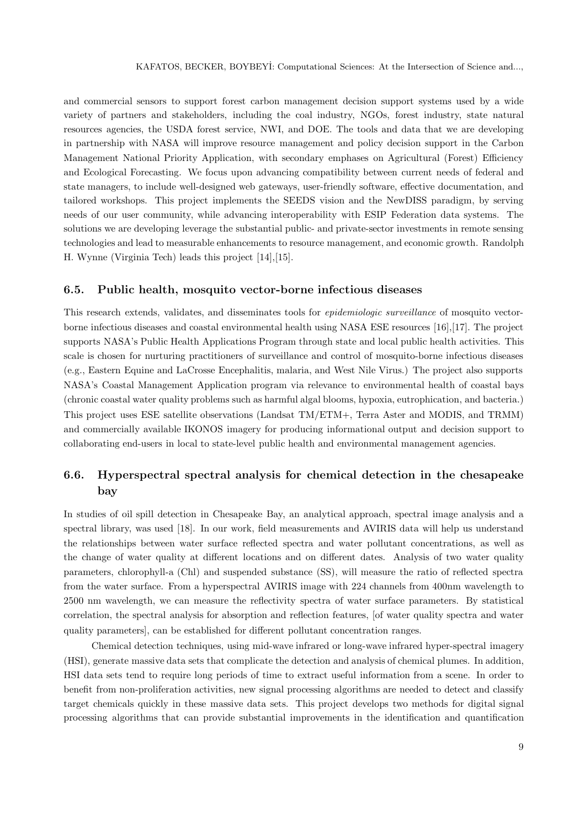and commercial sensors to support forest carbon management decision support systems used by a wide variety of partners and stakeholders, including the coal industry, NGOs, forest industry, state natural resources agencies, the USDA forest service, NWI, and DOE. The tools and data that we are developing in partnership with NASA will improve resource management and policy decision support in the Carbon Management National Priority Application, with secondary emphases on Agricultural (Forest) Efficiency and Ecological Forecasting. We focus upon advancing compatibility between current needs of federal and state managers, to include well-designed web gateways, user-friendly software, effective documentation, and tailored workshops. This project implements the SEEDS vision and the NewDISS paradigm, by serving needs of our user community, while advancing interoperability with ESIP Federation data systems. The solutions we are developing leverage the substantial public- and private-sector investments in remote sensing technologies and lead to measurable enhancements to resource management, and economic growth. Randolph H. Wynne (Virginia Tech) leads this project [14],[15].

#### **6.5. Public health, mosquito vector-borne infectious diseases**

This research extends, validates, and disseminates tools for *epidemiologic surveillance* of mosquito vectorborne infectious diseases and coastal environmental health using NASA ESE resources [16],[17]. The project supports NASA's Public Health Applications Program through state and local public health activities. This scale is chosen for nurturing practitioners of surveillance and control of mosquito-borne infectious diseases (e.g., Eastern Equine and LaCrosse Encephalitis, malaria, and West Nile Virus.) The project also supports NASA's Coastal Management Application program via relevance to environmental health of coastal bays (chronic coastal water quality problems such as harmful algal blooms, hypoxia, eutrophication, and bacteria.) This project uses ESE satellite observations (Landsat TM/ETM+, Terra Aster and MODIS, and TRMM) and commercially available IKONOS imagery for producing informational output and decision support to collaborating end-users in local to state-level public health and environmental management agencies.

### **6.6. Hyperspectral spectral analysis for chemical detection in the chesapeake bay**

In studies of oil spill detection in Chesapeake Bay, an analytical approach, spectral image analysis and a spectral library, was used [18]. In our work, field measurements and AVIRIS data will help us understand the relationships between water surface reflected spectra and water pollutant concentrations, as well as the change of water quality at different locations and on different dates. Analysis of two water quality parameters, chlorophyll-a (Chl) and suspended substance (SS), will measure the ratio of reflected spectra from the water surface. From a hyperspectral AVIRIS image with 224 channels from 400nm wavelength to 2500 nm wavelength, we can measure the reflectivity spectra of water surface parameters. By statistical correlation, the spectral analysis for absorption and reflection features, [of water quality spectra and water quality parameters], can be established for different pollutant concentration ranges.

Chemical detection techniques, using mid-wave infrared or long-wave infrared hyper-spectral imagery (HSI), generate massive data sets that complicate the detection and analysis of chemical plumes. In addition, HSI data sets tend to require long periods of time to extract useful information from a scene. In order to benefit from non-proliferation activities, new signal processing algorithms are needed to detect and classify target chemicals quickly in these massive data sets. This project develops two methods for digital signal processing algorithms that can provide substantial improvements in the identification and quantification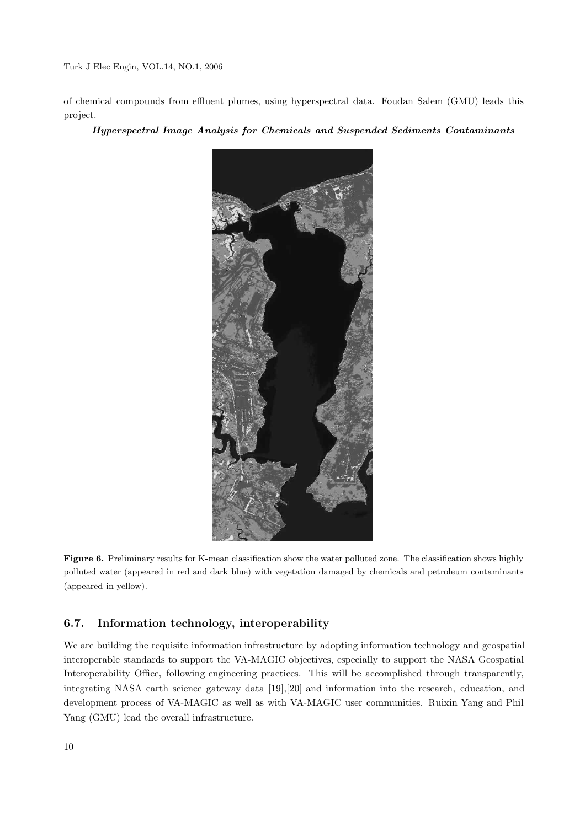of chemical compounds from effluent plumes, using hyperspectral data. Foudan Salem (GMU) leads this project.

#### *Hyperspectral Image Analysis for Chemicals and Suspended Sediments Contaminants*



**Figure 6.** Preliminary results for K-mean classification show the water polluted zone. The classification shows highly polluted water (appeared in red and dark blue) with vegetation damaged by chemicals and petroleum contaminants (appeared in yellow).

#### **6.7. Information technology, interoperability**

We are building the requisite information infrastructure by adopting information technology and geospatial interoperable standards to support the VA-MAGIC objectives, especially to support the NASA Geospatial Interoperability Office, following engineering practices. This will be accomplished through transparently, integrating NASA earth science gateway data [19],[20] and information into the research, education, and development process of VA-MAGIC as well as with VA-MAGIC user communities. Ruixin Yang and Phil Yang (GMU) lead the overall infrastructure.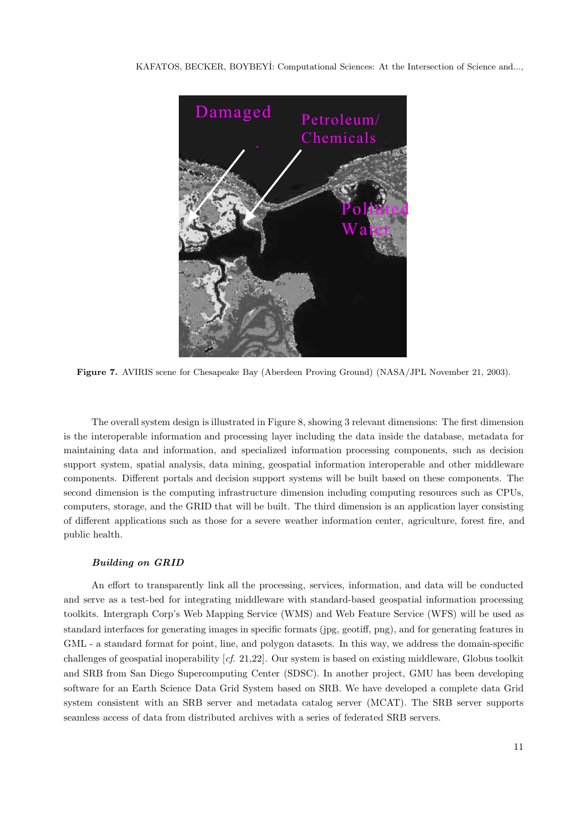#### KAFATOS, BECKER, BOYBEYİ: Computational Sciences: At the Intersection of Science and...,



**Figure 7.** AVIRIS scene for Chesapeake Bay (Aberdeen Proving Ground) (NASA/JPL November 21, 2003).

The overall system design is illustrated in Figure 8, showing 3 relevant dimensions: The first dimension is the interoperable information and processing layer including the data inside the database, metadata for maintaining data and information, and specialized information processing components, such as decision support system, spatial analysis, data mining, geospatial information interoperable and other middleware components. Different portals and decision support systems will be built based on these components. The second dimension is the computing infrastructure dimension including computing resources such as CPUs, computers, storage, and the GRID that will be built. The third dimension is an application layer consisting of different applications such as those for a severe weather information center, agriculture, forest fire, and public health.

#### *Building on GRID*

An effort to transparently link all the processing, services, information, and data will be conducted and serve as a test-bed for integrating middleware with standard-based geospatial information processing toolkits. Intergraph Corp's Web Mapping Service (WMS) and Web Feature Service (WFS) will be used as standard interfaces for generating images in specific formats (jpg, geotiff, png), and for generating features in GML - a standard format for point, line, and polygon datasets. In this way, we address the domain-specific challenges of geospatial inoperability [cf. 21,22]. Our system is based on existing middleware, Globus toolkit and SRB from San Diego Supercomputing Center (SDSC). In another project, GMU has been developing software for an Earth Science Data Grid System based on SRB. We have developed a complete data Grid system consistent with an SRB server and metadata catalog server (MCAT). The SRB server supports seamless access of data from distributed archives with a series of federated SRB servers.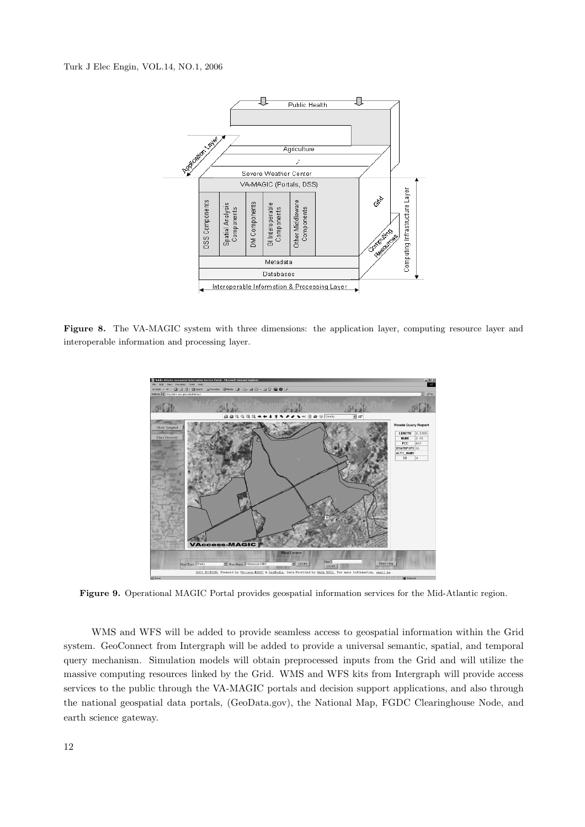

Figure 8. The VA-MAGIC system with three dimensions: the application layer, computing resource layer and interoperable information and processing layer.



**Figure 9.** Operational MAGIC Portal provides geospatial information services for the Mid-Atlantic region.

WMS and WFS will be added to provide seamless access to geospatial information within the Grid system. GeoConnect from Intergraph will be added to provide a universal semantic, spatial, and temporal query mechanism. Simulation models will obtain preprocessed inputs from the Grid and will utilize the massive computing resources linked by the Grid. WMS and WFS kits from Intergraph will provide access services to the public through the VA-MAGIC portals and decision support applications, and also through the national geospatial data portals, (GeoData.gov), the National Map, FGDC Clearinghouse Node, and earth science gateway.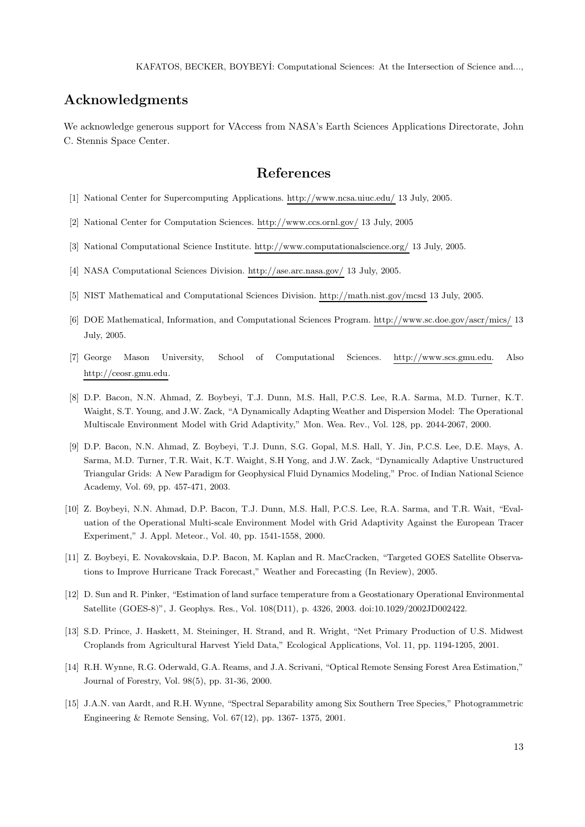## **Acknowledgments**

We acknowledge generous support for VAccess from NASA's Earth Sciences Applications Directorate, John C. Stennis Space Center.

## **References**

- [1] National Center for Supercomputing Applications. http://www.ncsa.uiuc.edu/ 13 July, 2005.
- [2] National Center for Computation Sciences. http://www.ccs.ornl.gov/ 13 July, 2005
- [3] National Computational Science Institute. http://www.computationalscience.org/ 13 July, 2005.
- [4] NASA Computational Sciences Division. http://ase.arc.nasa.gov/ 13 July, 2005.
- [5] NIST Mathematical and Computational Sciences Division. http://math.nist.gov/mcsd 13 July, 2005.
- [6] DOE Mathematical, Information, and Computational Sciences Program. http://www.sc.doe.gov/ascr/mics/ 13 July, 2005.
- [7] George Mason University, School of Computational Sciences. http://www.scs.gmu.edu. Also http://ceosr.gmu.edu.
- [8] D.P. Bacon, N.N. Ahmad, Z. Boybeyi, T.J. Dunn, M.S. Hall, P.C.S. Lee, R.A. Sarma, M.D. Turner, K.T. Waight, S.T. Young, and J.W. Zack, "A Dynamically Adapting Weather and Dispersion Model: The Operational Multiscale Environment Model with Grid Adaptivity," Mon. Wea. Rev., Vol. 128, pp. 2044-2067, 2000.
- [9] D.P. Bacon, N.N. Ahmad, Z. Boybeyi, T.J. Dunn, S.G. Gopal, M.S. Hall, Y. Jin, P.C.S. Lee, D.E. Mays, A. Sarma, M.D. Turner, T.R. Wait, K.T. Waight, S.H Yong, and J.W. Zack, "Dynamically Adaptive Unstructured Triangular Grids: A New Paradigm for Geophysical Fluid Dynamics Modeling," Proc. of Indian National Science Academy, Vol. 69, pp. 457-471, 2003.
- [10] Z. Boybeyi, N.N. Ahmad, D.P. Bacon, T.J. Dunn, M.S. Hall, P.C.S. Lee, R.A. Sarma, and T.R. Wait, "Evaluation of the Operational Multi-scale Environment Model with Grid Adaptivity Against the European Tracer Experiment," J. Appl. Meteor., Vol. 40, pp. 1541-1558, 2000.
- [11] Z. Boybeyi, E. Novakovskaia, D.P. Bacon, M. Kaplan and R. MacCracken, "Targeted GOES Satellite Observations to Improve Hurricane Track Forecast," Weather and Forecasting (In Review), 2005.
- [12] D. Sun and R. Pinker, "Estimation of land surface temperature from a Geostationary Operational Environmental Satellite (GOES-8)", J. Geophys. Res., Vol. 108(D11), p. 4326, 2003. doi:10.1029/2002JD002422.
- [13] S.D. Prince, J. Haskett, M. Steininger, H. Strand, and R. Wright, "Net Primary Production of U.S. Midwest Croplands from Agricultural Harvest Yield Data," Ecological Applications, Vol. 11, pp. 1194-1205, 2001.
- [14] R.H. Wynne, R.G. Oderwald, G.A. Reams, and J.A. Scrivani, "Optical Remote Sensing Forest Area Estimation," Journal of Forestry, Vol. 98(5), pp. 31-36, 2000.
- [15] J.A.N. van Aardt, and R.H. Wynne, "Spectral Separability among Six Southern Tree Species," Photogrammetric Engineering & Remote Sensing, Vol. 67(12), pp. 1367- 1375, 2001.